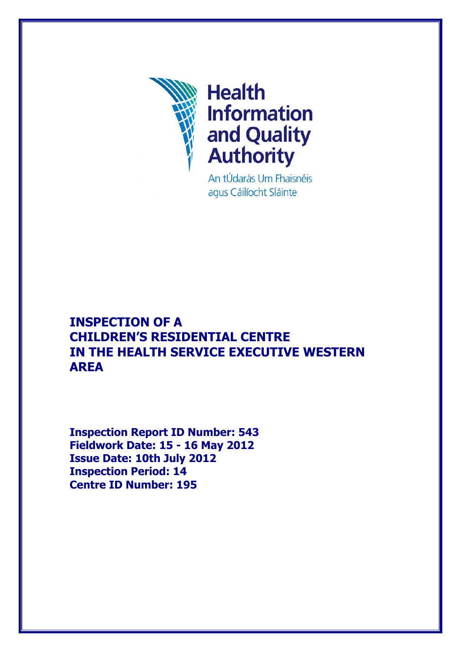

An tÚdarás Um Fhaisnéis agus Cáilíocht Sláinte

# **INSPECTION OF A CHILDREN'S RESIDENTIAL CENTRE IN THE HEALTH SERVICE EXECUTIVE WESTERN AREA**

**Inspection Report ID Number: 543 Fieldwork Date: 15 - 16 May 2012 Issue Date: 10th July 2012 Inspection Period: 14 Centre ID Number: 195**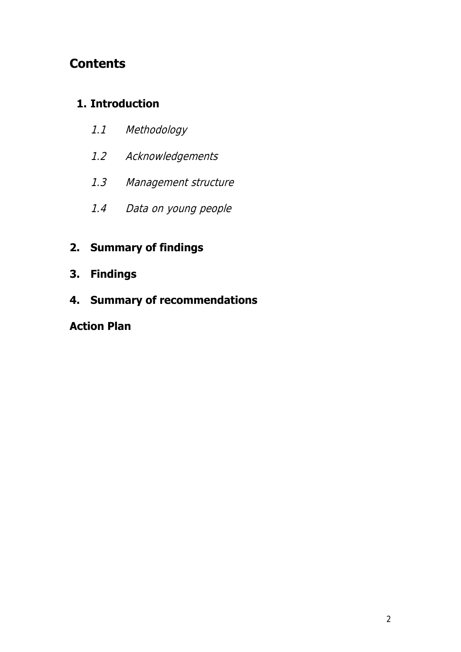# **Contents**

## **1. Introduction**

- 1.1 Methodology
- 1.2 Acknowledgements
- 1.3 Management structure
- 1.4 Data on young people

## **2. Summary of findings**

- **3. Findings**
- **4. Summary of recommendations**

## **Action Plan**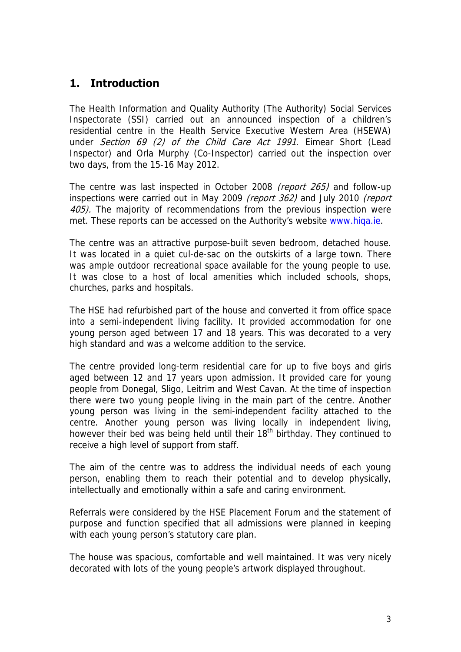## **1. Introduction**

The Health Information and Quality Authority (The Authority) Social Services Inspectorate (SSI) carried out an announced inspection of a children's residential centre in the Health Service Executive Western Area (HSEWA) under Section 69 (2) of the Child Care Act 1991. Eimear Short (Lead Inspector) and Orla Murphy (Co-Inspector) carried out the inspection over two days, from the 15-16 May 2012.

The centre was last inspected in October 2008 (report 265) and follow-up inspections were carried out in May 2009 (report 362) and July 2010 (report 405). The majority of recommendations from the previous inspection were met. These reports can be accessed on the Authority's website [www.hiqa.ie](http://www.hiqa.ie/).

The centre was an attractive purpose-built seven bedroom, detached house. It was located in a quiet cul-de-sac on the outskirts of a large town. There was ample outdoor recreational space available for the young people to use. It was close to a host of local amenities which included schools, shops, churches, parks and hospitals.

The HSE had refurbished part of the house and converted it from office space into a semi-independent living facility. It provided accommodation for one young person aged between 17 and 18 years. This was decorated to a very high standard and was a welcome addition to the service.

The centre provided long-term residential care for up to five boys and girls aged between 12 and 17 years upon admission. It provided care for young people from Donegal, Sligo, Leitrim and West Cavan. At the time of inspection there were two young people living in the main part of the centre. Another young person was living in the semi-independent facility attached to the centre. Another young person was living locally in independent living, however their bed was being held until their  $18<sup>th</sup>$  birthday. They continued to receive a high level of support from staff.

The aim of the centre was to address the individual needs of each young person, enabling them to reach their potential and to develop physically, intellectually and emotionally within a safe and caring environment.

Referrals were considered by the HSE Placement Forum and the statement of purpose and function specified that all admissions were planned in keeping with each young person's statutory care plan.

The house was spacious, comfortable and well maintained. It was very nicely decorated with lots of the young people's artwork displayed throughout.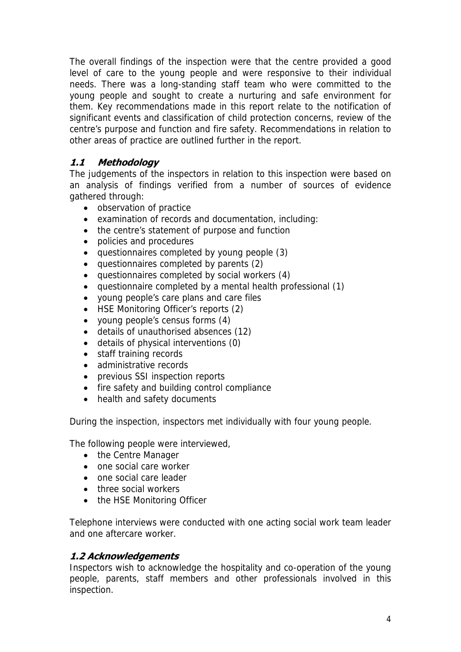The overall findings of the inspection were that the centre provided a good level of care to the young people and were responsive to their individual needs. There was a long-standing staff team who were committed to the young people and sought to create a nurturing and safe environment for them. Key recommendations made in this report relate to the notification of significant events and classification of child protection concerns, review of the centre's purpose and function and fire safety. Recommendations in relation to other areas of practice are outlined further in the report.

## **1.1 Methodology**

The judgements of the inspectors in relation to this inspection were based on an analysis of findings verified from a number of sources of evidence gathered through:

- observation of practice
- examination of records and documentation, including:
- the centre's statement of purpose and function
- policies and procedures
- questionnaires completed by young people (3)
- questionnaires completed by parents (2)
- questionnaires completed by social workers (4)
- questionnaire completed by a mental health professional (1)
- young people's care plans and care files
- HSE Monitoring Officer's reports (2)
- young people's census forms (4)
- details of unauthorised absences (12)
- details of physical interventions (0)
- staff training records
- administrative records
- previous SSI inspection reports
- fire safety and building control compliance
- health and safety documents

During the inspection, inspectors met individually with four young people.

The following people were interviewed,

- the Centre Manager
- one social care worker
- one social care leader
- three social workers
- the HSE Monitoring Officer

Telephone interviews were conducted with one acting social work team leader and one aftercare worker.

## **1.2 Acknowledgements**

Inspectors wish to acknowledge the hospitality and co-operation of the young people, parents, staff members and other professionals involved in this inspection.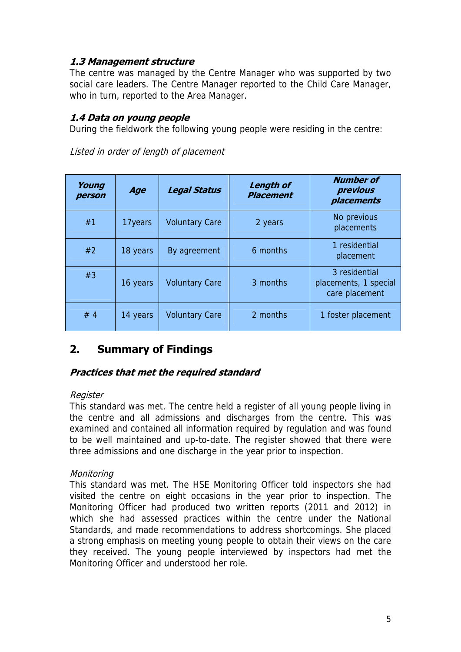## **1.3 Management structure**

The centre was managed by the Centre Manager who was supported by two social care leaders. The Centre Manager reported to the Child Care Manager, who in turn, reported to the Area Manager.

## **1.4 Data on young people**

During the fieldwork the following young people were residing in the centre:

| Young<br>person | Age      | <b>Legal Status</b>   | <b>Length of</b><br><b>Placement</b> | <b>Number of</b><br>previous<br>placements               |
|-----------------|----------|-----------------------|--------------------------------------|----------------------------------------------------------|
| #1              | 17years  | <b>Voluntary Care</b> | 2 years                              | No previous<br>placements                                |
| #2              | 18 years | By agreement          | 6 months                             | 1 residential<br>placement                               |
| #3              | 16 years | <b>Voluntary Care</b> | 3 months                             | 3 residential<br>placements, 1 special<br>care placement |
| #4              | 14 years | <b>Voluntary Care</b> | 2 months                             | 1 foster placement                                       |

Listed in order of length of placement

## **2. Summary of Findings**

## **Practices that met the required standard**

## **Register**

This standard was met. The centre held a register of all young people living in the centre and all admissions and discharges from the centre. This was examined and contained all information required by regulation and was found to be well maintained and up-to-date. The register showed that there were three admissions and one discharge in the year prior to inspection.

## Monitoring

This standard was met. The HSE Monitoring Officer told inspectors she had visited the centre on eight occasions in the year prior to inspection. The Monitoring Officer had produced two written reports (2011 and 2012) in which she had assessed practices within the centre under the National Standards, and made recommendations to address shortcomings. She placed a strong emphasis on meeting young people to obtain their views on the care they received. The young people interviewed by inspectors had met the Monitoring Officer and understood her role.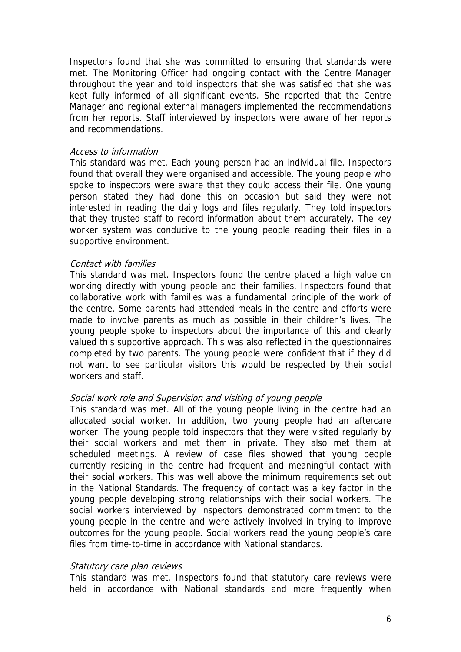Inspectors found that she was committed to ensuring that standards were met. The Monitoring Officer had ongoing contact with the Centre Manager throughout the year and told inspectors that she was satisfied that she was kept fully informed of all significant events. She reported that the Centre Manager and regional external managers implemented the recommendations from her reports. Staff interviewed by inspectors were aware of her reports and recommendations.

#### Access to information

This standard was met. Each young person had an individual file. Inspectors found that overall they were organised and accessible. The young people who spoke to inspectors were aware that they could access their file. One young person stated they had done this on occasion but said they were not interested in reading the daily logs and files regularly. They told inspectors that they trusted staff to record information about them accurately. The key worker system was conducive to the young people reading their files in a supportive environment.

#### Contact with families

This standard was met. Inspectors found the centre placed a high value on working directly with young people and their families. Inspectors found that collaborative work with families was a fundamental principle of the work of the centre. Some parents had attended meals in the centre and efforts were made to involve parents as much as possible in their children's lives. The young people spoke to inspectors about the importance of this and clearly valued this supportive approach. This was also reflected in the questionnaires completed by two parents. The young people were confident that if they did not want to see particular visitors this would be respected by their social workers and staff.

#### Social work role and Supervision and visiting of young people

This standard was met. All of the young people living in the centre had an allocated social worker. In addition, two young people had an aftercare worker. The young people told inspectors that they were visited regularly by their social workers and met them in private. They also met them at scheduled meetings. A review of case files showed that young people currently residing in the centre had frequent and meaningful contact with their social workers. This was well above the minimum requirements set out in the National Standards. The frequency of contact was a key factor in the young people developing strong relationships with their social workers. The social workers interviewed by inspectors demonstrated commitment to the young people in the centre and were actively involved in trying to improve outcomes for the young people. Social workers read the young people's care files from time-to-time in accordance with National standards.

### Statutory care plan reviews

This standard was met. Inspectors found that statutory care reviews were held in accordance with National standards and more frequently when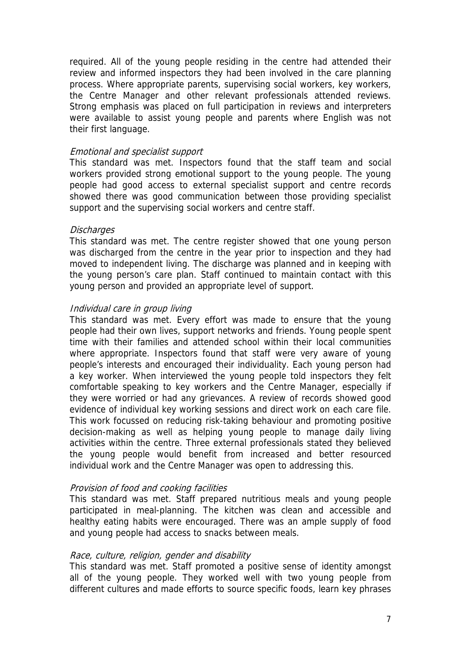required. All of the young people residing in the centre had attended their review and informed inspectors they had been involved in the care planning process. Where appropriate parents, supervising social workers, key workers, the Centre Manager and other relevant professionals attended reviews. Strong emphasis was placed on full participation in reviews and interpreters were available to assist young people and parents where English was not their first language.

### Emotional and specialist support

This standard was met. Inspectors found that the staff team and social workers provided strong emotional support to the young people. The young people had good access to external specialist support and centre records showed there was good communication between those providing specialist support and the supervising social workers and centre staff.

### **Discharges**

This standard was met. The centre register showed that one young person was discharged from the centre in the year prior to inspection and they had moved to independent living. The discharge was planned and in keeping with the young person's care plan. Staff continued to maintain contact with this young person and provided an appropriate level of support.

### Individual care in group living

This standard was met. Every effort was made to ensure that the young people had their own lives, support networks and friends. Young people spent time with their families and attended school within their local communities where appropriate. Inspectors found that staff were very aware of young people's interests and encouraged their individuality. Each young person had a key worker. When interviewed the young people told inspectors they felt comfortable speaking to key workers and the Centre Manager, especially if they were worried or had any grievances. A review of records showed good evidence of individual key working sessions and direct work on each care file. This work focussed on reducing risk-taking behaviour and promoting positive decision-making as well as helping young people to manage daily living activities within the centre. Three external professionals stated they believed the young people would benefit from increased and better resourced individual work and the Centre Manager was open to addressing this.

### Provision of food and cooking facilities

This standard was met. Staff prepared nutritious meals and young people participated in meal-planning. The kitchen was clean and accessible and healthy eating habits were encouraged. There was an ample supply of food and young people had access to snacks between meals.

#### Race, culture, religion, gender and disability

This standard was met. Staff promoted a positive sense of identity amongst all of the young people. They worked well with two young people from different cultures and made efforts to source specific foods, learn key phrases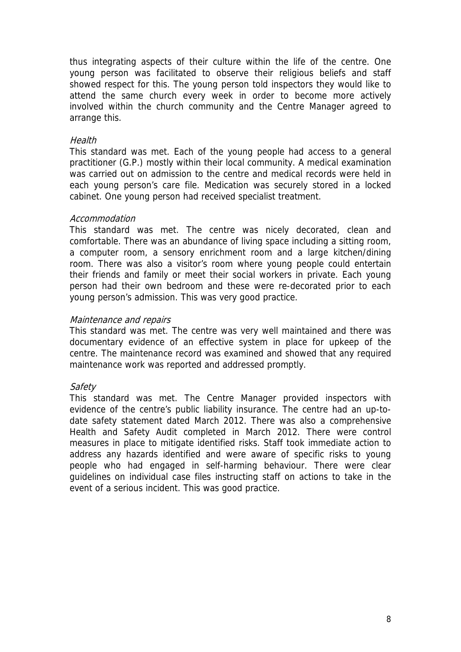thus integrating aspects of their culture within the life of the centre. One young person was facilitated to observe their religious beliefs and staff showed respect for this. The young person told inspectors they would like to attend the same church every week in order to become more actively involved within the church community and the Centre Manager agreed to arrange this.

### **Health**

This standard was met. Each of the young people had access to a general practitioner (G.P.) mostly within their local community. A medical examination was carried out on admission to the centre and medical records were held in each young person's care file. Medication was securely stored in a locked cabinet. One young person had received specialist treatment.

### Accommodation

This standard was met. The centre was nicely decorated, clean and comfortable. There was an abundance of living space including a sitting room, a computer room, a sensory enrichment room and a large kitchen/dining room. There was also a visitor's room where young people could entertain their friends and family or meet their social workers in private. Each young person had their own bedroom and these were re-decorated prior to each young person's admission. This was very good practice.

### Maintenance and repairs

This standard was met. The centre was very well maintained and there was documentary evidence of an effective system in place for upkeep of the centre. The maintenance record was examined and showed that any required maintenance work was reported and addressed promptly.

### **Safety**

This standard was met. The Centre Manager provided inspectors with evidence of the centre's public liability insurance. The centre had an up-todate safety statement dated March 2012. There was also a comprehensive Health and Safety Audit completed in March 2012. There were control measures in place to mitigate identified risks. Staff took immediate action to address any hazards identified and were aware of specific risks to young people who had engaged in self-harming behaviour. There were clear guidelines on individual case files instructing staff on actions to take in the event of a serious incident. This was good practice.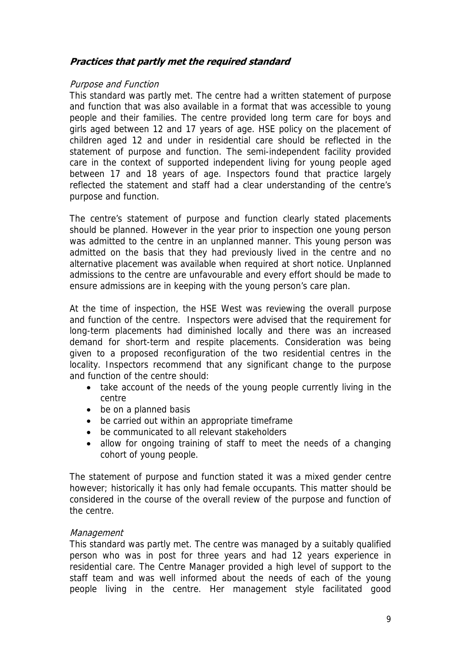## **Practices that partly met the required standard**

### Purpose and Function

This standard was partly met. The centre had a written statement of purpose and function that was also available in a format that was accessible to young people and their families. The centre provided long term care for boys and girls aged between 12 and 17 years of age. HSE policy on the placement of children aged 12 and under in residential care should be reflected in the statement of purpose and function. The semi-independent facility provided care in the context of supported independent living for young people aged between 17 and 18 years of age. Inspectors found that practice largely reflected the statement and staff had a clear understanding of the centre's purpose and function.

The centre's statement of purpose and function clearly stated placements should be planned. However in the year prior to inspection one young person was admitted to the centre in an unplanned manner. This young person was admitted on the basis that they had previously lived in the centre and no alternative placement was available when required at short notice. Unplanned admissions to the centre are unfavourable and every effort should be made to ensure admissions are in keeping with the young person's care plan.

At the time of inspection, the HSE West was reviewing the overall purpose and function of the centre. Inspectors were advised that the requirement for long-term placements had diminished locally and there was an increased demand for short-term and respite placements. Consideration was being given to a proposed reconfiguration of the two residential centres in the locality. Inspectors recommend that any significant change to the purpose and function of the centre should:

- take account of the needs of the young people currently living in the centre
- be on a planned basis
- be carried out within an appropriate timeframe
- be communicated to all relevant stakeholders
- allow for ongoing training of staff to meet the needs of a changing cohort of young people.

The statement of purpose and function stated it was a mixed gender centre however; historically it has only had female occupants. This matter should be considered in the course of the overall review of the purpose and function of the centre.

### **Management**

This standard was partly met. The centre was managed by a suitably qualified person who was in post for three years and had 12 years experience in residential care. The Centre Manager provided a high level of support to the staff team and was well informed about the needs of each of the young people living in the centre. Her management style facilitated good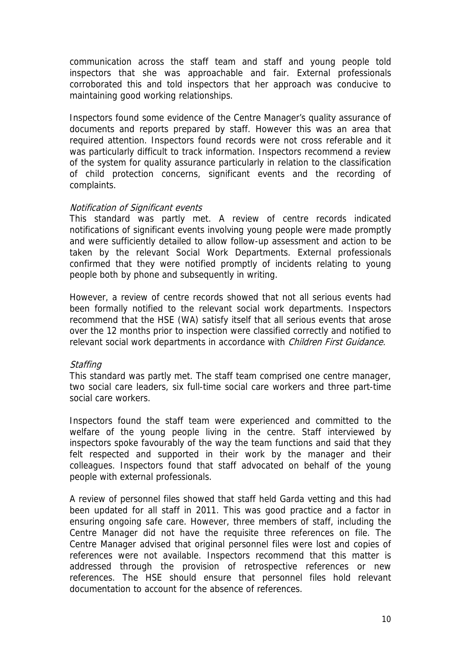communication across the staff team and staff and young people told inspectors that she was approachable and fair. External professionals corroborated this and told inspectors that her approach was conducive to maintaining good working relationships.

Inspectors found some evidence of the Centre Manager's quality assurance of documents and reports prepared by staff. However this was an area that required attention. Inspectors found records were not cross referable and it was particularly difficult to track information. Inspectors recommend a review of the system for quality assurance particularly in relation to the classification of child protection concerns, significant events and the recording of complaints.

### Notification of Significant events

This standard was partly met. A review of centre records indicated notifications of significant events involving young people were made promptly and were sufficiently detailed to allow follow-up assessment and action to be taken by the relevant Social Work Departments. External professionals confirmed that they were notified promptly of incidents relating to young people both by phone and subsequently in writing.

However, a review of centre records showed that not all serious events had been formally notified to the relevant social work departments. Inspectors recommend that the HSE (WA) satisfy itself that all serious events that arose over the 12 months prior to inspection were classified correctly and notified to relevant social work departments in accordance with Children First Guidance.

### **Staffing**

This standard was partly met. The staff team comprised one centre manager, two social care leaders, six full-time social care workers and three part-time social care workers.

Inspectors found the staff team were experienced and committed to the welfare of the young people living in the centre. Staff interviewed by inspectors spoke favourably of the way the team functions and said that they felt respected and supported in their work by the manager and their colleagues. Inspectors found that staff advocated on behalf of the young people with external professionals.

A review of personnel files showed that staff held Garda vetting and this had been updated for all staff in 2011. This was good practice and a factor in ensuring ongoing safe care. However, three members of staff, including the Centre Manager did not have the requisite three references on file. The Centre Manager advised that original personnel files were lost and copies of references were not available. Inspectors recommend that this matter is addressed through the provision of retrospective references or new references. The HSE should ensure that personnel files hold relevant documentation to account for the absence of references.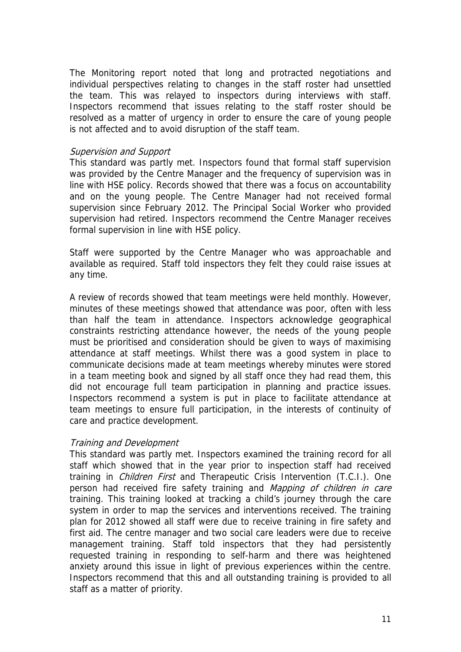The Monitoring report noted that long and protracted negotiations and individual perspectives relating to changes in the staff roster had unsettled the team. This was relayed to inspectors during interviews with staff. Inspectors recommend that issues relating to the staff roster should be resolved as a matter of urgency in order to ensure the care of young people is not affected and to avoid disruption of the staff team.

### Supervision and Support

This standard was partly met. Inspectors found that formal staff supervision was provided by the Centre Manager and the frequency of supervision was in line with HSE policy. Records showed that there was a focus on accountability and on the young people. The Centre Manager had not received formal supervision since February 2012. The Principal Social Worker who provided supervision had retired. Inspectors recommend the Centre Manager receives formal supervision in line with HSE policy.

Staff were supported by the Centre Manager who was approachable and available as required. Staff told inspectors they felt they could raise issues at any time.

A review of records showed that team meetings were held monthly. However, minutes of these meetings showed that attendance was poor, often with less than half the team in attendance. Inspectors acknowledge geographical constraints restricting attendance however, the needs of the young people must be prioritised and consideration should be given to ways of maximising attendance at staff meetings. Whilst there was a good system in place to communicate decisions made at team meetings whereby minutes were stored in a team meeting book and signed by all staff once they had read them, this did not encourage full team participation in planning and practice issues. Inspectors recommend a system is put in place to facilitate attendance at team meetings to ensure full participation, in the interests of continuity of care and practice development.

### Training and Development

This standard was partly met. Inspectors examined the training record for all staff which showed that in the year prior to inspection staff had received training in *Children First* and Therapeutic Crisis Intervention (T.C.I.). One person had received fire safety training and Mapping of children in care training. This training looked at tracking a child's journey through the care system in order to map the services and interventions received. The training plan for 2012 showed all staff were due to receive training in fire safety and first aid. The centre manager and two social care leaders were due to receive management training. Staff told inspectors that they had persistently requested training in responding to self-harm and there was heightened anxiety around this issue in light of previous experiences within the centre. Inspectors recommend that this and all outstanding training is provided to all staff as a matter of priority.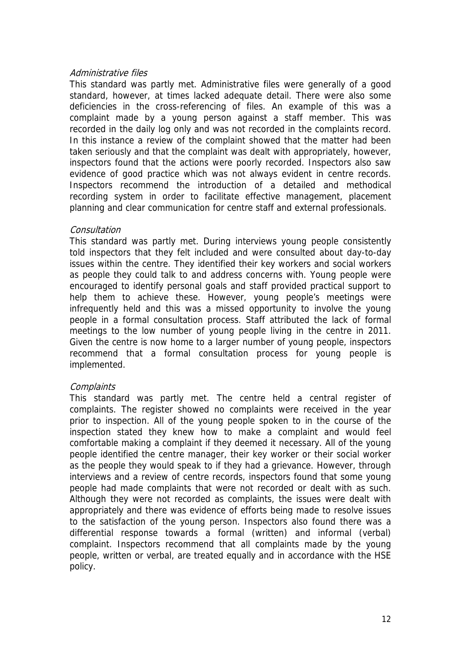### Administrative files

This standard was partly met. Administrative files were generally of a good standard, however, at times lacked adequate detail. There were also some deficiencies in the cross-referencing of files. An example of this was a complaint made by a young person against a staff member. This was recorded in the daily log only and was not recorded in the complaints record. In this instance a review of the complaint showed that the matter had been taken seriously and that the complaint was dealt with appropriately, however, inspectors found that the actions were poorly recorded. Inspectors also saw evidence of good practice which was not always evident in centre records. Inspectors recommend the introduction of a detailed and methodical recording system in order to facilitate effective management, placement planning and clear communication for centre staff and external professionals.

### Consultation

This standard was partly met. During interviews young people consistently told inspectors that they felt included and were consulted about day-to-day issues within the centre. They identified their key workers and social workers as people they could talk to and address concerns with. Young people were encouraged to identify personal goals and staff provided practical support to help them to achieve these. However, young people's meetings were infrequently held and this was a missed opportunity to involve the young people in a formal consultation process. Staff attributed the lack of formal meetings to the low number of young people living in the centre in 2011. Given the centre is now home to a larger number of young people, inspectors recommend that a formal consultation process for young people is implemented.

### **Complaints**

This standard was partly met. The centre held a central register of complaints. The register showed no complaints were received in the year prior to inspection. All of the young people spoken to in the course of the inspection stated they knew how to make a complaint and would feel comfortable making a complaint if they deemed it necessary. All of the young people identified the centre manager, their key worker or their social worker as the people they would speak to if they had a grievance. However, through interviews and a review of centre records, inspectors found that some young people had made complaints that were not recorded or dealt with as such. Although they were not recorded as complaints, the issues were dealt with appropriately and there was evidence of efforts being made to resolve issues to the satisfaction of the young person. Inspectors also found there was a differential response towards a formal (written) and informal (verbal) complaint. Inspectors recommend that all complaints made by the young people, written or verbal, are treated equally and in accordance with the HSE policy.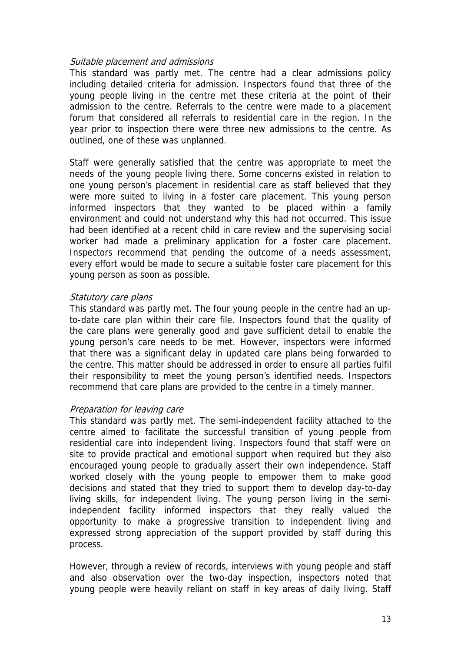### Suitable placement and admissions

This standard was partly met. The centre had a clear admissions policy including detailed criteria for admission. Inspectors found that three of the young people living in the centre met these criteria at the point of their admission to the centre. Referrals to the centre were made to a placement forum that considered all referrals to residential care in the region. In the year prior to inspection there were three new admissions to the centre. As outlined, one of these was unplanned.

Staff were generally satisfied that the centre was appropriate to meet the needs of the young people living there. Some concerns existed in relation to one young person's placement in residential care as staff believed that they were more suited to living in a foster care placement. This young person informed inspectors that they wanted to be placed within a family environment and could not understand why this had not occurred. This issue had been identified at a recent child in care review and the supervising social worker had made a preliminary application for a foster care placement. Inspectors recommend that pending the outcome of a needs assessment, every effort would be made to secure a suitable foster care placement for this young person as soon as possible.

### Statutory care plans

This standard was partly met. The four young people in the centre had an upto-date care plan within their care file. Inspectors found that the quality of the care plans were generally good and gave sufficient detail to enable the young person's care needs to be met. However, inspectors were informed that there was a significant delay in updated care plans being forwarded to the centre. This matter should be addressed in order to ensure all parties fulfil their responsibility to meet the young person's identified needs. Inspectors recommend that care plans are provided to the centre in a timely manner.

### Preparation for leaving care

This standard was partly met. The semi-independent facility attached to the centre aimed to facilitate the successful transition of young people from residential care into independent living. Inspectors found that staff were on site to provide practical and emotional support when required but they also encouraged young people to gradually assert their own independence. Staff worked closely with the young people to empower them to make good decisions and stated that they tried to support them to develop day-to-day living skills, for independent living. The young person living in the semiindependent facility informed inspectors that they really valued the opportunity to make a progressive transition to independent living and expressed strong appreciation of the support provided by staff during this process.

However, through a review of records, interviews with young people and staff and also observation over the two-day inspection, inspectors noted that young people were heavily reliant on staff in key areas of daily living. Staff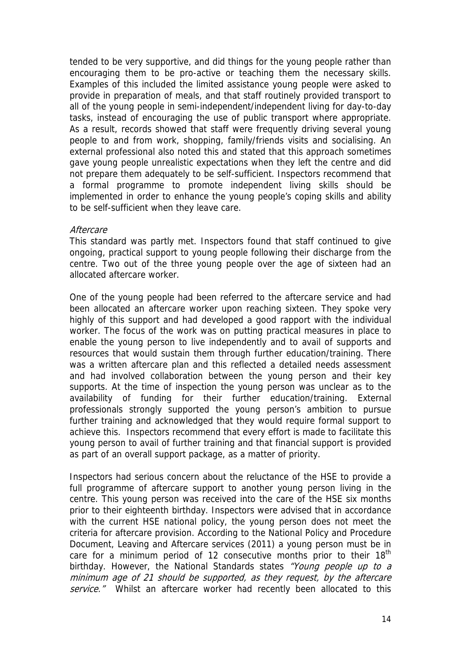tended to be very supportive, and did things for the young people rather than encouraging them to be pro-active or teaching them the necessary skills. Examples of this included the limited assistance young people were asked to provide in preparation of meals, and that staff routinely provided transport to all of the young people in semi-independent/independent living for day-to-day tasks, instead of encouraging the use of public transport where appropriate. As a result, records showed that staff were frequently driving several young people to and from work, shopping, family/friends visits and socialising. An external professional also noted this and stated that this approach sometimes gave young people unrealistic expectations when they left the centre and did not prepare them adequately to be self-sufficient. Inspectors recommend that a formal programme to promote independent living skills should be implemented in order to enhance the young people's coping skills and ability to be self-sufficient when they leave care.

## **Aftercare**

This standard was partly met. Inspectors found that staff continued to give ongoing, practical support to young people following their discharge from the centre. Two out of the three young people over the age of sixteen had an allocated aftercare worker.

One of the young people had been referred to the aftercare service and had been allocated an aftercare worker upon reaching sixteen. They spoke very highly of this support and had developed a good rapport with the individual worker. The focus of the work was on putting practical measures in place to enable the young person to live independently and to avail of supports and resources that would sustain them through further education/training. There was a written aftercare plan and this reflected a detailed needs assessment and had involved collaboration between the young person and their key supports. At the time of inspection the young person was unclear as to the availability of funding for their further education/training. External professionals strongly supported the young person's ambition to pursue further training and acknowledged that they would require formal support to achieve this. Inspectors recommend that every effort is made to facilitate this young person to avail of further training and that financial support is provided as part of an overall support package, as a matter of priority.

Inspectors had serious concern about the reluctance of the HSE to provide a full programme of aftercare support to another young person living in the centre. This young person was received into the care of the HSE six months prior to their eighteenth birthday. Inspectors were advised that in accordance with the current HSE national policy, the young person does not meet the criteria for aftercare provision. According to the National Policy and Procedure Document, Leaving and Aftercare services (2011) a young person must be in care for a minimum period of 12 consecutive months prior to their  $18<sup>th</sup>$ birthday. However, the National Standards states "Young people up to a minimum age of 21 should be supported, as they request, by the aftercare service." Whilst an aftercare worker had recently been allocated to this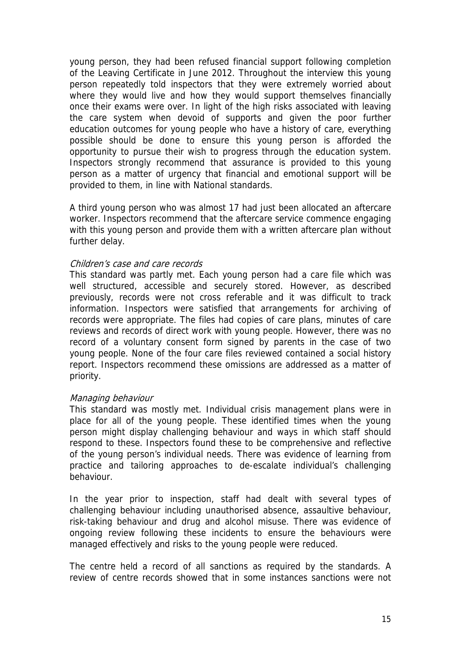young person, they had been refused financial support following completion of the Leaving Certificate in June 2012. Throughout the interview this young person repeatedly told inspectors that they were extremely worried about where they would live and how they would support themselves financially once their exams were over. In light of the high risks associated with leaving the care system when devoid of supports and given the poor further education outcomes for young people who have a history of care, everything possible should be done to ensure this young person is afforded the opportunity to pursue their wish to progress through the education system. Inspectors strongly recommend that assurance is provided to this young person as a matter of urgency that financial and emotional support will be provided to them, in line with National standards.

A third young person who was almost 17 had just been allocated an aftercare worker. Inspectors recommend that the aftercare service commence engaging with this young person and provide them with a written aftercare plan without further delay.

#### Children's case and care records

This standard was partly met. Each young person had a care file which was well structured, accessible and securely stored. However, as described previously, records were not cross referable and it was difficult to track information. Inspectors were satisfied that arrangements for archiving of records were appropriate. The files had copies of care plans, minutes of care reviews and records of direct work with young people. However, there was no record of a voluntary consent form signed by parents in the case of two young people. None of the four care files reviewed contained a social history report. Inspectors recommend these omissions are addressed as a matter of priority.

#### Managing behaviour

This standard was mostly met. Individual crisis management plans were in place for all of the young people. These identified times when the young person might display challenging behaviour and ways in which staff should respond to these. Inspectors found these to be comprehensive and reflective of the young person's individual needs. There was evidence of learning from practice and tailoring approaches to de-escalate individual's challenging behaviour.

In the year prior to inspection, staff had dealt with several types of challenging behaviour including unauthorised absence, assaultive behaviour, risk-taking behaviour and drug and alcohol misuse. There was evidence of ongoing review following these incidents to ensure the behaviours were managed effectively and risks to the young people were reduced.

The centre held a record of all sanctions as required by the standards. A review of centre records showed that in some instances sanctions were not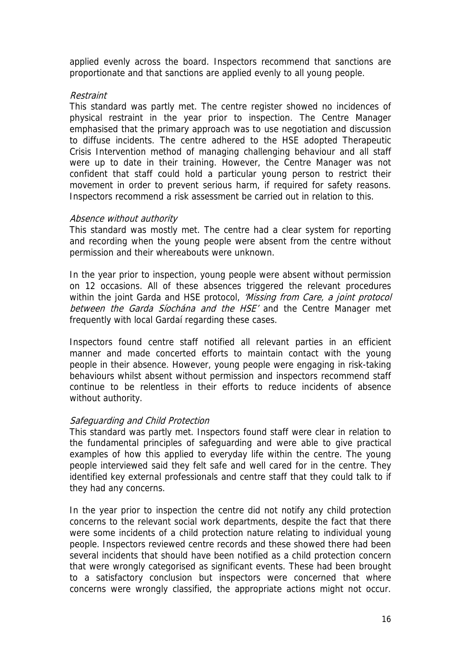applied evenly across the board. Inspectors recommend that sanctions are proportionate and that sanctions are applied evenly to all young people.

### Restraint

This standard was partly met. The centre register showed no incidences of physical restraint in the year prior to inspection. The Centre Manager emphasised that the primary approach was to use negotiation and discussion to diffuse incidents. The centre adhered to the HSE adopted Therapeutic Crisis Intervention method of managing challenging behaviour and all staff were up to date in their training. However, the Centre Manager was not confident that staff could hold a particular young person to restrict their movement in order to prevent serious harm, if required for safety reasons. Inspectors recommend a risk assessment be carried out in relation to this.

### Absence without authority

This standard was mostly met. The centre had a clear system for reporting and recording when the young people were absent from the centre without permission and their whereabouts were unknown.

In the year prior to inspection, young people were absent without permission on 12 occasions. All of these absences triggered the relevant procedures within the joint Garda and HSE protocol, *'Missing from Care, a joint protocol* between the Garda Siochána and the HSE' and the Centre Manager met frequently with local Gardaí regarding these cases.

Inspectors found centre staff notified all relevant parties in an efficient manner and made concerted efforts to maintain contact with the young people in their absence. However, young people were engaging in risk-taking behaviours whilst absent without permission and inspectors recommend staff continue to be relentless in their efforts to reduce incidents of absence without authority.

### Safeguarding and Child Protection

This standard was partly met. Inspectors found staff were clear in relation to the fundamental principles of safeguarding and were able to give practical examples of how this applied to everyday life within the centre. The young people interviewed said they felt safe and well cared for in the centre. They identified key external professionals and centre staff that they could talk to if they had any concerns.

In the year prior to inspection the centre did not notify any child protection concerns to the relevant social work departments, despite the fact that there were some incidents of a child protection nature relating to individual young people. Inspectors reviewed centre records and these showed there had been several incidents that should have been notified as a child protection concern that were wrongly categorised as significant events. These had been brought to a satisfactory conclusion but inspectors were concerned that where concerns were wrongly classified, the appropriate actions might not occur.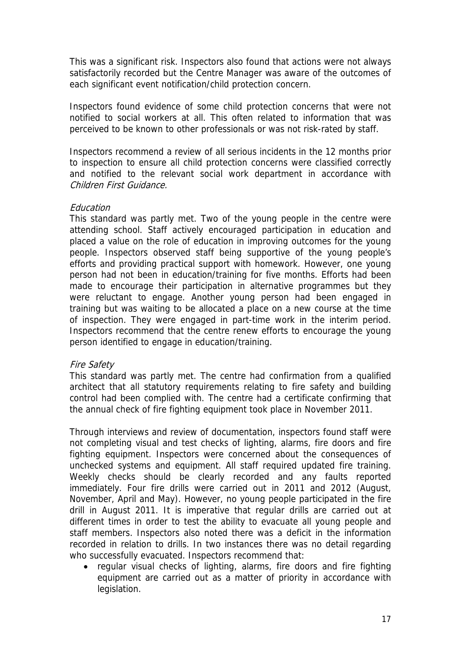This was a significant risk. Inspectors also found that actions were not always satisfactorily recorded but the Centre Manager was aware of the outcomes of each significant event notification/child protection concern.

Inspectors found evidence of some child protection concerns that were not notified to social workers at all. This often related to information that was perceived to be known to other professionals or was not risk-rated by staff.

Inspectors recommend a review of all serious incidents in the 12 months prior to inspection to ensure all child protection concerns were classified correctly and notified to the relevant social work department in accordance with Children First Guidance.

### Education

This standard was partly met. Two of the young people in the centre were attending school. Staff actively encouraged participation in education and placed a value on the role of education in improving outcomes for the young people. Inspectors observed staff being supportive of the young people's efforts and providing practical support with homework. However, one young person had not been in education/training for five months. Efforts had been made to encourage their participation in alternative programmes but they were reluctant to engage. Another young person had been engaged in training but was waiting to be allocated a place on a new course at the time of inspection. They were engaged in part-time work in the interim period. Inspectors recommend that the centre renew efforts to encourage the young person identified to engage in education/training.

### Fire Safety

This standard was partly met. The centre had confirmation from a qualified architect that all statutory requirements relating to fire safety and building control had been complied with. The centre had a certificate confirming that the annual check of fire fighting equipment took place in November 2011.

Through interviews and review of documentation, inspectors found staff were not completing visual and test checks of lighting, alarms, fire doors and fire fighting equipment. Inspectors were concerned about the consequences of unchecked systems and equipment. All staff required updated fire training. Weekly checks should be clearly recorded and any faults reported immediately. Four fire drills were carried out in 2011 and 2012 (August, November, April and May). However, no young people participated in the fire drill in August 2011. It is imperative that regular drills are carried out at different times in order to test the ability to evacuate all young people and staff members. Inspectors also noted there was a deficit in the information recorded in relation to drills. In two instances there was no detail regarding who successfully evacuated. Inspectors recommend that:

• regular visual checks of lighting, alarms, fire doors and fire fighting equipment are carried out as a matter of priority in accordance with legislation.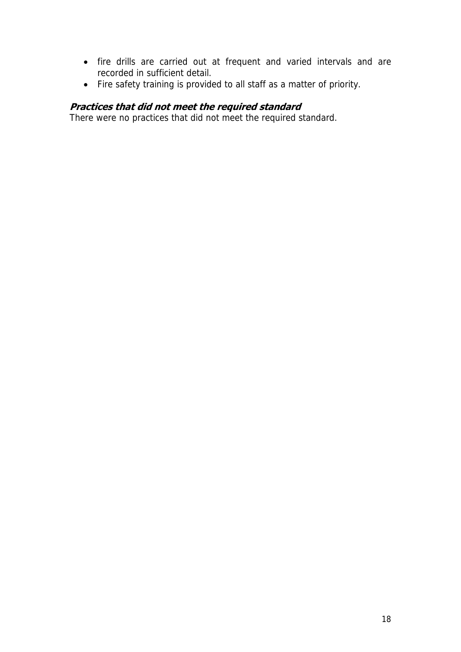- fire drills are carried out at frequent and varied intervals and are recorded in sufficient detail.
- Fire safety training is provided to all staff as a matter of priority.

## **Practices that did not meet the required standard**

There were no practices that did not meet the required standard.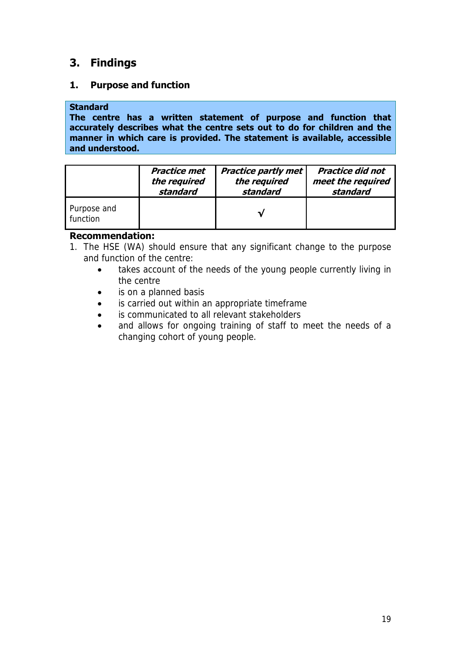## **3. Findings**

## **1. Purpose and function**

## **Standard**

**The centre has a written statement of purpose and function that accurately describes what the centre sets out to do for children and the manner in which care is provided. The statement is available, accessible and understood.** 

|                         | <b>Practice met</b> | <b>Practice partly met</b> | <b>Practice did not</b> |
|-------------------------|---------------------|----------------------------|-------------------------|
|                         | the required        | the required               | meet the required       |
|                         | standard            | standard                   | standard                |
| Purpose and<br>function |                     |                            |                         |

## **Recommendation:**

- 1. The HSE (WA) should ensure that any significant change to the purpose and function of the centre:
	- takes account of the needs of the young people currently living in the centre
	- is on a planned basis
	- is carried out within an appropriate timeframe
	- is communicated to all relevant stakeholders
	- and allows for ongoing training of staff to meet the needs of a changing cohort of young people.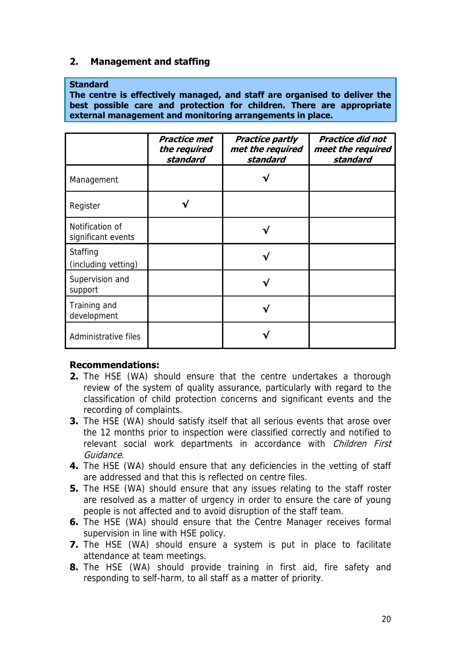## **2. Management and staffing**

### **Standard**

**The centre is effectively managed, and staff are organised to deliver the best possible care and protection for children. There are appropriate external management and monitoring arrangements in place.** 

|                                       | <b>Practice met</b><br>the required<br>standard | <b>Practice partly</b><br>met the required<br>standard | <b>Practice did not</b><br>meet the required<br>standard |
|---------------------------------------|-------------------------------------------------|--------------------------------------------------------|----------------------------------------------------------|
| Management                            |                                                 |                                                        |                                                          |
| Register                              |                                                 |                                                        |                                                          |
| Notification of<br>significant events |                                                 |                                                        |                                                          |
| Staffing<br>(including vetting)       |                                                 |                                                        |                                                          |
| Supervision and<br>support            |                                                 |                                                        |                                                          |
| Training and<br>development           |                                                 |                                                        |                                                          |
| Administrative files                  |                                                 |                                                        |                                                          |

## **Recommendations:**

- **2.** The HSE (WA) should ensure that the centre undertakes a thorough review of the system of quality assurance, particularly with regard to the classification of child protection concerns and significant events and the recording of complaints.
- **3.** The HSE (WA) should satisfy itself that all serious events that arose over the 12 months prior to inspection were classified correctly and notified to relevant social work departments in accordance with Children First Guidance.
- **4.** The HSE (WA) should ensure that any deficiencies in the vetting of staff are addressed and that this is reflected on centre files.
- **5.** The HSE (WA) should ensure that any issues relating to the staff roster are resolved as a matter of urgency in order to ensure the care of young people is not affected and to avoid disruption of the staff team.
- **6.** The HSE (WA) should ensure that the Centre Manager receives formal supervision in line with HSE policy.
- **7.** The HSE (WA) should ensure a system is put in place to facilitate attendance at team meetings.
- **8.** The HSE (WA) should provide training in first aid, fire safety and responding to self-harm, to all staff as a matter of priority.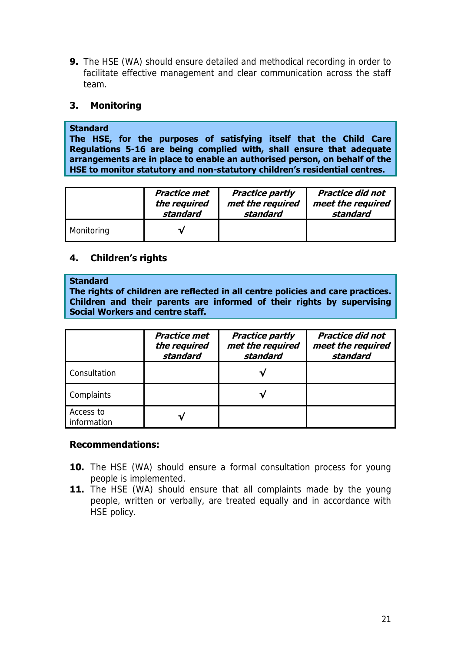**9.** The HSE (WA) should ensure detailed and methodical recording in order to facilitate effective management and clear communication across the staff team.

## **3. Monitoring**

### **Standard**

**The HSE, for the purposes of satisfying itself that the Child Care Regulations 5-16 are being complied with, shall ensure that adequate arrangements are in place to enable an authorised person, on behalf of the HSE to monitor statutory and non-statutory children's residential centres.** 

|            | Practice met | <b>Practice partly</b> | <b>Practice did not</b> |
|------------|--------------|------------------------|-------------------------|
|            | the required | met the required       | meet the required       |
|            | standard     | standard               | standard                |
| Monitoring |              |                        |                         |

## **4. Children's rights**

#### **Standard**

**The rights of children are reflected in all centre policies and care practices. Children and their parents are informed of their rights by supervising Social Workers and centre staff.** 

|                          | <b>Practice met</b><br>the required<br>standard | <b>Practice partly</b><br>met the required<br>standard | <b>Practice did not</b><br>meet the required<br>standard |
|--------------------------|-------------------------------------------------|--------------------------------------------------------|----------------------------------------------------------|
| Consultation             |                                                 |                                                        |                                                          |
| Complaints               |                                                 |                                                        |                                                          |
| Access to<br>information |                                                 |                                                        |                                                          |

## **Recommendations:**

- **10.** The HSE (WA) should ensure a formal consultation process for young people is implemented.
- 11. The HSE (WA) should ensure that all complaints made by the young people, written or verbally, are treated equally and in accordance with HSE policy.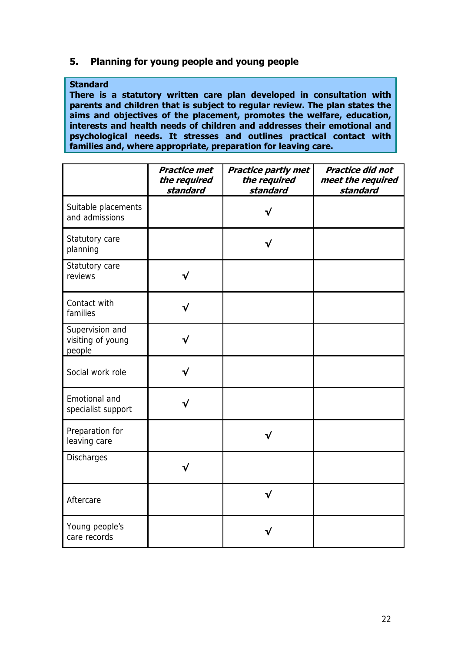## **5. Planning for young people and young people**

### **Standard**

**There is a statutory written care plan developed in consultation with parents and children that is subject to regular review. The plan states the aims and objectives of the placement, promotes the welfare, education, interests and health needs of children and addresses their emotional and psychological needs. It stresses and outlines practical contact with families and, where appropriate, preparation for leaving care.** 

|                                                | <b>Practice met</b><br>the required<br>standard | <b>Practice partly met</b><br>the required<br>standard | <b>Practice did not</b><br>meet the required<br>standard |
|------------------------------------------------|-------------------------------------------------|--------------------------------------------------------|----------------------------------------------------------|
| Suitable placements<br>and admissions          |                                                 |                                                        |                                                          |
| Statutory care<br>planning                     |                                                 |                                                        |                                                          |
| Statutory care<br>reviews                      | √                                               |                                                        |                                                          |
| Contact with<br>families                       |                                                 |                                                        |                                                          |
| Supervision and<br>visiting of young<br>people | √                                               |                                                        |                                                          |
| Social work role                               | √                                               |                                                        |                                                          |
| Emotional and<br>specialist support            |                                                 |                                                        |                                                          |
| Preparation for<br>leaving care                |                                                 |                                                        |                                                          |
| Discharges                                     |                                                 |                                                        |                                                          |
| Aftercare                                      |                                                 | $\checkmark$                                           |                                                          |
| Young people's<br>care records                 |                                                 |                                                        |                                                          |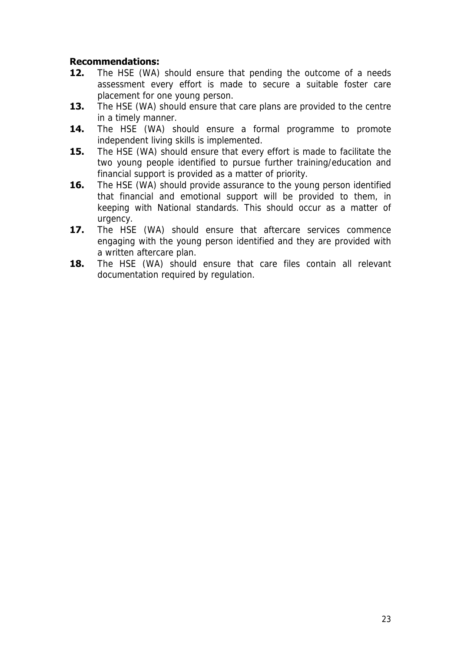## **Recommendations:**

- **12.** The HSE (WA) should ensure that pending the outcome of a needs assessment every effort is made to secure a suitable foster care placement for one young person.
- **13.** The HSE (WA) should ensure that care plans are provided to the centre in a timely manner.
- **14.** The HSE (WA) should ensure a formal programme to promote independent living skills is implemented.
- **15.** The HSE (WA) should ensure that every effort is made to facilitate the two young people identified to pursue further training/education and financial support is provided as a matter of priority.
- **16.** The HSE (WA) should provide assurance to the young person identified that financial and emotional support will be provided to them, in keeping with National standards. This should occur as a matter of urgency.
- **17.** The HSE (WA) should ensure that aftercare services commence engaging with the young person identified and they are provided with a written aftercare plan.
- **18.** The HSE (WA) should ensure that care files contain all relevant documentation required by regulation.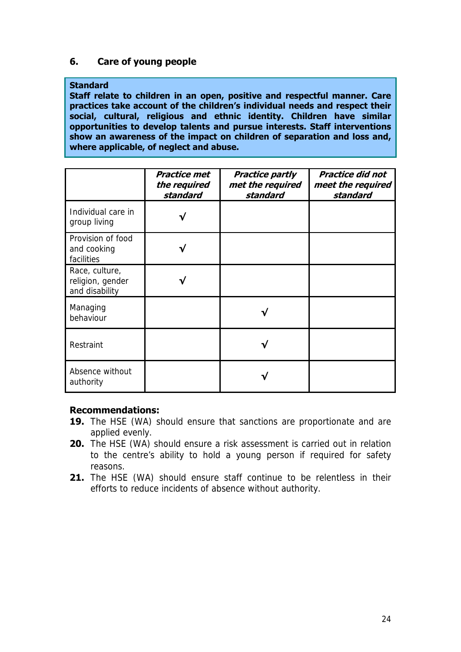## **6. Care of young people**

### **Standard**

**Staff relate to children in an open, positive and respectful manner. Care practices take account of the children's individual needs and respect their social, cultural, religious and ethnic identity. Children have similar opportunities to develop talents and pursue interests. Staff interventions show an awareness of the impact on children of separation and loss and, where applicable, of neglect and abuse.** 

|                                                      | <b>Practice met</b><br>the required<br>standard | <b>Practice partly</b><br>met the required<br>standard | <b>Practice did not</b><br>meet the required<br>standard |
|------------------------------------------------------|-------------------------------------------------|--------------------------------------------------------|----------------------------------------------------------|
| Individual care in<br>group living                   | √                                               |                                                        |                                                          |
| Provision of food<br>and cooking<br>facilities       |                                                 |                                                        |                                                          |
| Race, culture,<br>religion, gender<br>and disability |                                                 |                                                        |                                                          |
| Managing<br>behaviour                                |                                                 |                                                        |                                                          |
| Restraint                                            |                                                 |                                                        |                                                          |
| Absence without<br>authority                         |                                                 |                                                        |                                                          |

### **Recommendations:**

- 19. The HSE (WA) should ensure that sanctions are proportionate and are applied evenly.
- **20.** The HSE (WA) should ensure a risk assessment is carried out in relation to the centre's ability to hold a young person if required for safety reasons.
- **21.** The HSE (WA) should ensure staff continue to be relentless in their efforts to reduce incidents of absence without authority.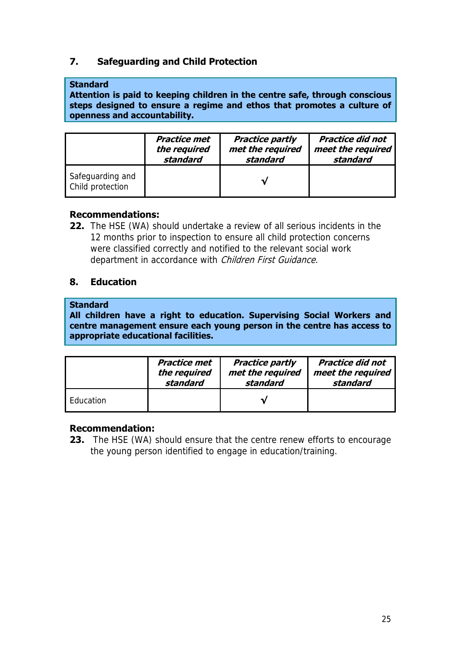## **7. Safeguarding and Child Protection**

### **Standard**

**Attention is paid to keeping children in the centre safe, through conscious steps designed to ensure a regime and ethos that promotes a culture of openness and accountability.** 

|                                      | Practice met | <b>Practice partly</b> | <b>Practice did not</b> |
|--------------------------------------|--------------|------------------------|-------------------------|
|                                      | the required | met the required       | meet the required       |
|                                      | standard     | standard               | standard                |
| Safeguarding and<br>Child protection |              |                        |                         |

## **Recommendations:**

**22.** The HSE (WA) should undertake a review of all serious incidents in the 12 months prior to inspection to ensure all child protection concerns were classified correctly and notified to the relevant social work department in accordance with *Children First Guidance.* 

## **8. Education**

### **Standard**

**All children have a right to education. Supervising Social Workers and centre management ensure each young person in the centre has access to appropriate educational facilities.** 

|           | <b>Practice met</b> | <b>Practice partly</b> | <b>Practice did not</b> |
|-----------|---------------------|------------------------|-------------------------|
|           | the required        | met the required       | meet the required       |
|           | standard            | standard               | standard                |
| Education |                     |                        |                         |

## **Recommendation:**

**23.** The HSE (WA) should ensure that the centre renew efforts to encourage the young person identified to engage in education/training.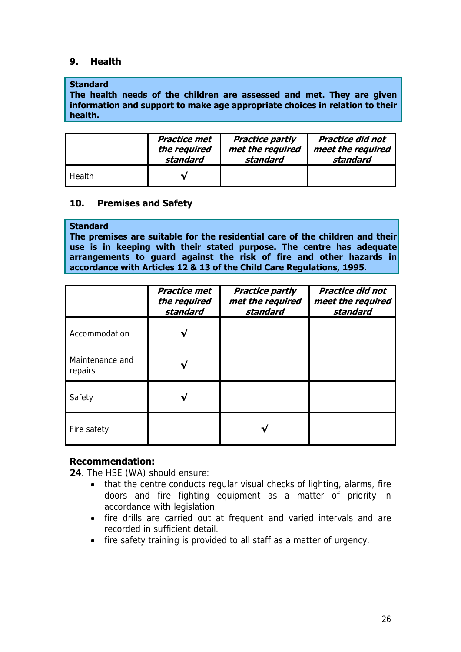## **9. Health**

### **Standard**

**The health needs of the children are assessed and met. They are given information and support to make age appropriate choices in relation to their health.** 

|        | Practice met | <b>Practice partly</b> | <b>Practice did not</b> |
|--------|--------------|------------------------|-------------------------|
|        | the required | met the required       | meet the required       |
|        | standard     | standard               | standard                |
| Health |              |                        |                         |

## **10. Premises and Safety**

## **Standard**

**The premises are suitable for the residential care of the children and their use is in keeping with their stated purpose. The centre has adequate arrangements to guard against the risk of fire and other hazards in accordance with Articles 12 & 13 of the Child Care Regulations, 1995.** 

|                            | <b>Practice met</b><br>the required<br>standard | <b>Practice partly</b><br>met the required<br>standard | <b>Practice did not</b><br>meet the required<br>standard |
|----------------------------|-------------------------------------------------|--------------------------------------------------------|----------------------------------------------------------|
| Accommodation              |                                                 |                                                        |                                                          |
| Maintenance and<br>repairs |                                                 |                                                        |                                                          |
| Safety                     |                                                 |                                                        |                                                          |
| Fire safety                |                                                 |                                                        |                                                          |

## **Recommendation:**

**24**. The HSE (WA) should ensure:

- that the centre conducts regular visual checks of lighting, alarms, fire doors and fire fighting equipment as a matter of priority in accordance with legislation.
- fire drills are carried out at frequent and varied intervals and are recorded in sufficient detail.
- fire safety training is provided to all staff as a matter of urgency.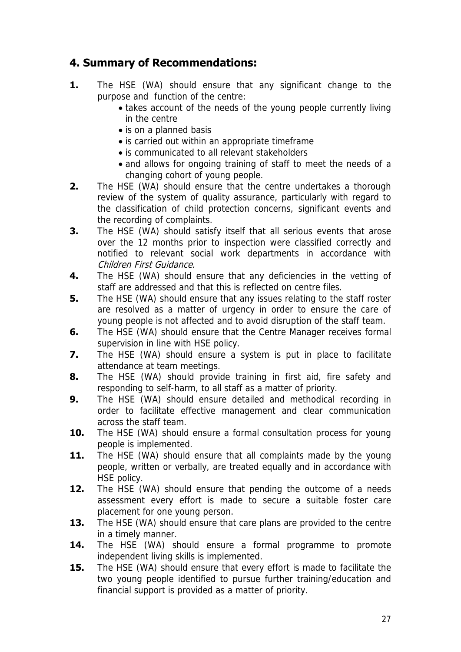## **4. Summary of Recommendations:**

- **1.** The HSE (WA) should ensure that any significant change to the purpose and function of the centre:
	- takes account of the needs of the young people currently living in the centre
	- is on a planned basis
	- is carried out within an appropriate timeframe
	- is communicated to all relevant stakeholders
	- and allows for ongoing training of staff to meet the needs of a changing cohort of young people.
- **2.** The HSE (WA) should ensure that the centre undertakes a thorough review of the system of quality assurance, particularly with regard to the classification of child protection concerns, significant events and the recording of complaints.
- **3.** The HSE (WA) should satisfy itself that all serious events that arose over the 12 months prior to inspection were classified correctly and notified to relevant social work departments in accordance with Children First Guidance.
- **4.** The HSE (WA) should ensure that any deficiencies in the vetting of staff are addressed and that this is reflected on centre files.
- **5.** The HSE (WA) should ensure that any issues relating to the staff roster are resolved as a matter of urgency in order to ensure the care of young people is not affected and to avoid disruption of the staff team.
- **6.** The HSE (WA) should ensure that the Centre Manager receives formal supervision in line with HSE policy.
- **7.** The HSE (WA) should ensure a system is put in place to facilitate attendance at team meetings.
- **8.** The HSE (WA) should provide training in first aid, fire safety and responding to self-harm, to all staff as a matter of priority.
- **9.** The HSE (WA) should ensure detailed and methodical recording in order to facilitate effective management and clear communication across the staff team.
- **10.** The HSE (WA) should ensure a formal consultation process for young people is implemented.
- **11.** The HSE (WA) should ensure that all complaints made by the young people, written or verbally, are treated equally and in accordance with HSE policy.
- **12.** The HSE (WA) should ensure that pending the outcome of a needs assessment every effort is made to secure a suitable foster care placement for one young person.
- **13.** The HSE (WA) should ensure that care plans are provided to the centre in a timely manner.
- **14.** The HSE (WA) should ensure a formal programme to promote independent living skills is implemented.
- **15.** The HSE (WA) should ensure that every effort is made to facilitate the two young people identified to pursue further training/education and financial support is provided as a matter of priority.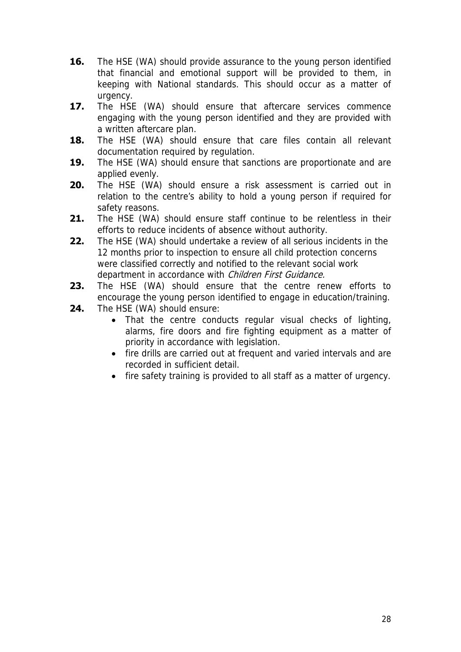- **16.** The HSE (WA) should provide assurance to the young person identified that financial and emotional support will be provided to them, in keeping with National standards. This should occur as a matter of urgency.
- **17.** The HSE (WA) should ensure that aftercare services commence engaging with the young person identified and they are provided with a written aftercare plan.
- **18.** The HSE (WA) should ensure that care files contain all relevant documentation required by regulation.
- **19.** The HSE (WA) should ensure that sanctions are proportionate and are applied evenly.
- **20.** The HSE (WA) should ensure a risk assessment is carried out in relation to the centre's ability to hold a young person if required for safety reasons.
- **21.** The HSE (WA) should ensure staff continue to be relentless in their efforts to reduce incidents of absence without authority.
- **22.** The HSE (WA) should undertake a review of all serious incidents in the 12 months prior to inspection to ensure all child protection concerns were classified correctly and notified to the relevant social work department in accordance with Children First Guidance.
- **23.** The HSE (WA) should ensure that the centre renew efforts to encourage the young person identified to engage in education/training.
- **24.** The HSE (WA) should ensure:
	- That the centre conducts regular visual checks of lighting, alarms, fire doors and fire fighting equipment as a matter of priority in accordance with legislation.
	- fire drills are carried out at frequent and varied intervals and are recorded in sufficient detail.
	- fire safety training is provided to all staff as a matter of urgency.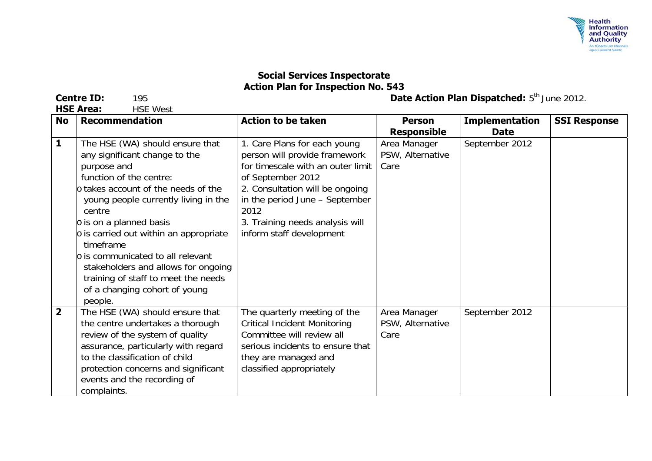

**Centre ID:** 195 **Date Action Plan Dispatched:** 5<sup>th</sup> June 2012.

**No Recommendation Action to be taken Person Responsible Implementation Date SSI Response 1** The HSE (WA) should ensure that any significant change to the purpose and function of the centre: o takes account of the needs of the young people currently living in the centre o is on a planned basis o is carried out within an appropriate timeframe o is communicated to all relevant stakeholders and allows for ongoing training of staff to meet the needs of a changing cohort of young people. 1. Care Plans for each young person will provide framework for timescale with an outer limit of September 2012 2. Consultation will be ongoing in the period June – September 2012 3. Training needs analysis will inform staff development Area Manager PSW, Alternative Care September 2012 **2** The HSE (WA) should ensure that the centre undertakes a thorough review of the system of quality assurance, particularly with regard to the classification of child protection concerns and significant events and the recording of complaints. The quarterly meeting of the Critical Incident Monitoring Committee will review all serious incidents to ensure that they are managed and classified appropriately Area Manager PSW, Alternative Care September 2012

**HSE Area:** HSE West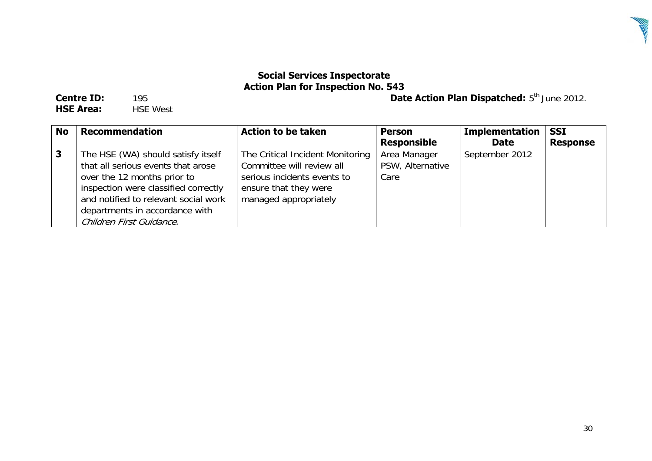

**Centre ID:** 195 **Date Action Plan Dispatched:** 5th June 2012.

**HSE Area: HSE West** 

| <b>No</b> | <b>Recommendation</b>                                                                                                                                                                                                                                 | <b>Action to be taken</b>                                                                                                                      | <b>Person</b><br><b>Responsible</b>      | <b>Implementation</b><br><b>Date</b> | <b>SSI</b><br><b>Response</b> |
|-----------|-------------------------------------------------------------------------------------------------------------------------------------------------------------------------------------------------------------------------------------------------------|------------------------------------------------------------------------------------------------------------------------------------------------|------------------------------------------|--------------------------------------|-------------------------------|
|           | The HSE (WA) should satisfy itself<br>that all serious events that arose<br>over the 12 months prior to<br>inspection were classified correctly<br>and notified to relevant social work<br>departments in accordance with<br>Children First Guidance. | The Critical Incident Monitoring<br>Committee will review all<br>serious incidents events to<br>ensure that they were<br>managed appropriately | Area Manager<br>PSW, Alternative<br>Care | September 2012                       |                               |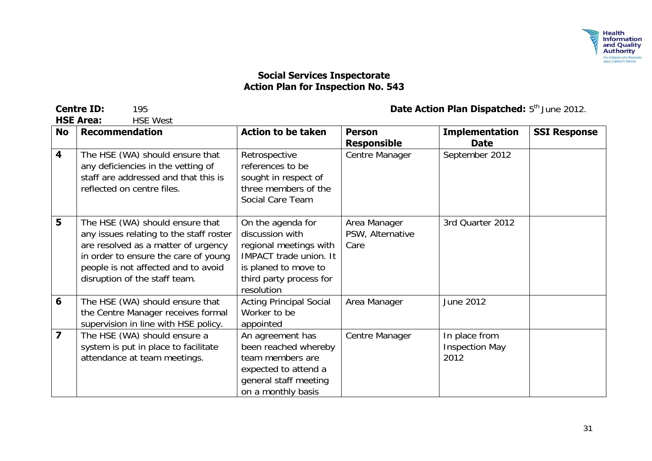

**HSE Area:** 

| <b>No</b>               | <b>Recommendation</b>                                                                                                                                                                                                             | <b>Action to be taken</b>                                                                                                                                        | <b>Person</b><br><b>Responsible</b>      | <b>Implementation</b><br><b>Date</b>           | <b>SSI Response</b> |
|-------------------------|-----------------------------------------------------------------------------------------------------------------------------------------------------------------------------------------------------------------------------------|------------------------------------------------------------------------------------------------------------------------------------------------------------------|------------------------------------------|------------------------------------------------|---------------------|
| $\overline{\mathbf{4}}$ | The HSE (WA) should ensure that<br>any deficiencies in the vetting of<br>staff are addressed and that this is<br>reflected on centre files.                                                                                       | Retrospective<br>references to be<br>sought in respect of<br>three members of the<br>Social Care Team                                                            | Centre Manager                           | September 2012                                 |                     |
| 5                       | The HSE (WA) should ensure that<br>any issues relating to the staff roster<br>are resolved as a matter of urgency<br>in order to ensure the care of young<br>people is not affected and to avoid<br>disruption of the staff team. | On the agenda for<br>discussion with<br>regional meetings with<br><b>IMPACT</b> trade union. It<br>is planed to move to<br>third party process for<br>resolution | Area Manager<br>PSW, Alternative<br>Care | 3rd Quarter 2012                               |                     |
| 6                       | The HSE (WA) should ensure that<br>the Centre Manager receives formal<br>supervision in line with HSE policy.                                                                                                                     | <b>Acting Principal Social</b><br>Worker to be<br>appointed                                                                                                      | Area Manager                             | June 2012                                      |                     |
| $\overline{\mathbf{z}}$ | The HSE (WA) should ensure a<br>system is put in place to facilitate<br>attendance at team meetings.                                                                                                                              | An agreement has<br>been reached whereby<br>team members are<br>expected to attend a<br>general staff meeting<br>on a monthly basis                              | Centre Manager                           | In place from<br><b>Inspection May</b><br>2012 |                     |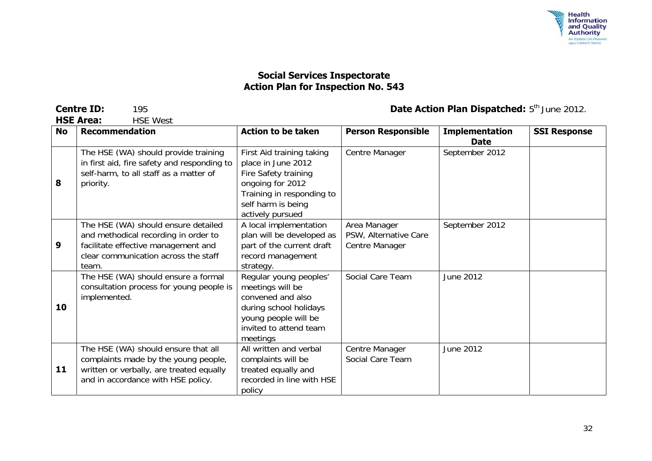

**HSF Area:** 

| <b>No</b> | <b>Recommendation</b>                                                                                                                                               | <b>Action to be taken</b>                                                                                                                                          | <b>Person Responsible</b>                               | <b>Implementation</b><br><b>Date</b> | <b>SSI Response</b> |
|-----------|---------------------------------------------------------------------------------------------------------------------------------------------------------------------|--------------------------------------------------------------------------------------------------------------------------------------------------------------------|---------------------------------------------------------|--------------------------------------|---------------------|
| 8         | The HSE (WA) should provide training<br>in first aid, fire safety and responding to<br>self-harm, to all staff as a matter of<br>priority.                          | First Aid training taking<br>place in June 2012<br>Fire Safety training<br>ongoing for 2012<br>Training in responding to<br>self harm is being<br>actively pursued | Centre Manager                                          | September 2012                       |                     |
| 9         | The HSE (WA) should ensure detailed<br>and methodical recording in order to<br>facilitate effective management and<br>clear communication across the staff<br>team. | A local implementation<br>plan will be developed as<br>part of the current draft<br>record management<br>strategy.                                                 | Area Manager<br>PSW, Alternative Care<br>Centre Manager | September 2012                       |                     |
| 10        | The HSE (WA) should ensure a formal<br>consultation process for young people is<br>implemented.                                                                     | Regular young peoples'<br>meetings will be<br>convened and also<br>during school holidays<br>young people will be<br>invited to attend team<br>meetings            | Social Care Team                                        | June 2012                            |                     |
| 11        | The HSE (WA) should ensure that all<br>complaints made by the young people,<br>written or verbally, are treated equally<br>and in accordance with HSE policy.       | All written and verbal<br>complaints will be<br>treated equally and<br>recorded in line with HSE<br>policy                                                         | Centre Manager<br>Social Care Team                      | June 2012                            |                     |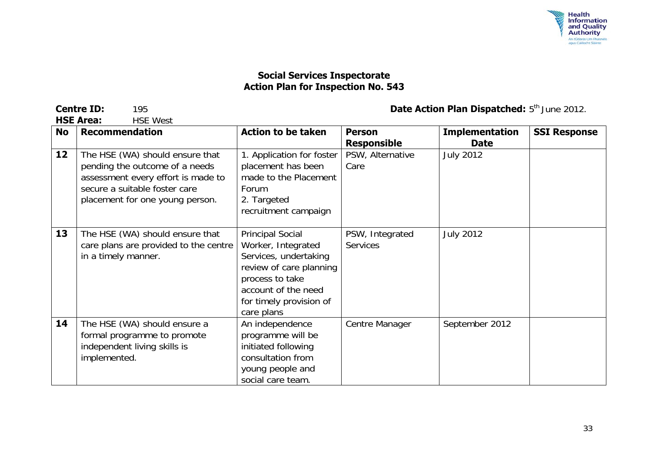

**HSF Area:** 

| <b>No</b> | <b>Recommendation</b>                                                                                                                                                       | <b>Action to be taken</b>                                                                                                                                                            | <b>Person</b><br><b>Responsible</b> | <b>Implementation</b><br><b>Date</b> | <b>SSI Response</b> |
|-----------|-----------------------------------------------------------------------------------------------------------------------------------------------------------------------------|--------------------------------------------------------------------------------------------------------------------------------------------------------------------------------------|-------------------------------------|--------------------------------------|---------------------|
| 12        | The HSE (WA) should ensure that<br>pending the outcome of a needs<br>assessment every effort is made to<br>secure a suitable foster care<br>placement for one young person. | 1. Application for foster<br>placement has been<br>made to the Placement<br>Forum<br>2. Targeted<br>recruitment campaign                                                             | PSW, Alternative<br>Care            | <b>July 2012</b>                     |                     |
| 13        | The HSE (WA) should ensure that<br>care plans are provided to the centre<br>in a timely manner.                                                                             | <b>Principal Social</b><br>Worker, Integrated<br>Services, undertaking<br>review of care planning<br>process to take<br>account of the need<br>for timely provision of<br>care plans | PSW, Integrated<br><b>Services</b>  | <b>July 2012</b>                     |                     |
| 14        | The HSE (WA) should ensure a<br>formal programme to promote<br>independent living skills is<br>implemented.                                                                 | An independence<br>programme will be<br>initiated following<br>consultation from<br>young people and<br>social care team.                                                            | Centre Manager                      | September 2012                       |                     |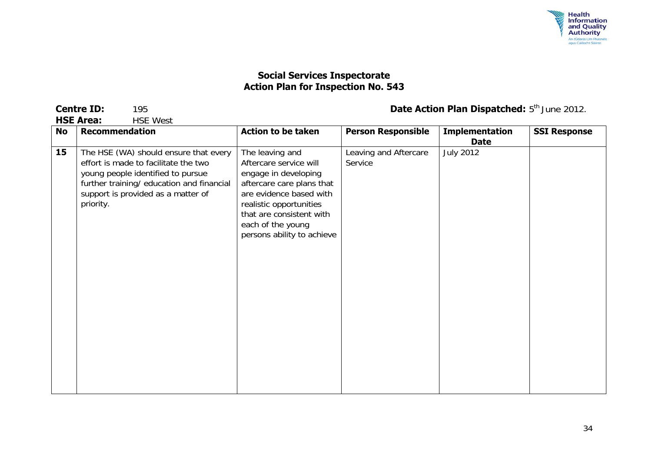

**HSE West** 

| <b>No</b> | <b>Recommendation</b>                                                                                                                                                                                              | <b>Action to be taken</b>                                                                                                                                                                                                           | <b>Person Responsible</b>        | <b>Implementation</b><br><b>Date</b> | <b>SSI Response</b> |
|-----------|--------------------------------------------------------------------------------------------------------------------------------------------------------------------------------------------------------------------|-------------------------------------------------------------------------------------------------------------------------------------------------------------------------------------------------------------------------------------|----------------------------------|--------------------------------------|---------------------|
| 15        | The HSE (WA) should ensure that every<br>effort is made to facilitate the two<br>young people identified to pursue<br>further training/ education and financial<br>support is provided as a matter of<br>priority. | The leaving and<br>Aftercare service will<br>engage in developing<br>aftercare care plans that<br>are evidence based with<br>realistic opportunities<br>that are consistent with<br>each of the young<br>persons ability to achieve | Leaving and Aftercare<br>Service | <b>July 2012</b>                     |                     |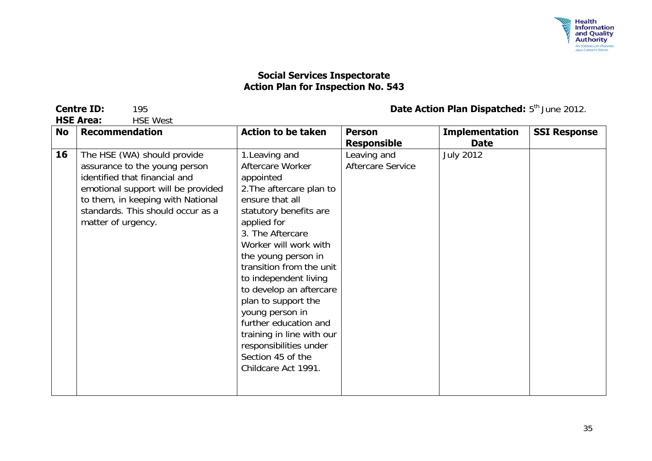

**HSE Area:** HSE West

| No | <b>Recommendation</b>                                                                                                                                                                                                               | <b>Action to be taken</b>                                                                                                                                                                                                                                                                                                                                                                                                                                         | <b>Person</b>                                                 | <b>Implementation</b>           | <b>SSI Response</b> |
|----|-------------------------------------------------------------------------------------------------------------------------------------------------------------------------------------------------------------------------------------|-------------------------------------------------------------------------------------------------------------------------------------------------------------------------------------------------------------------------------------------------------------------------------------------------------------------------------------------------------------------------------------------------------------------------------------------------------------------|---------------------------------------------------------------|---------------------------------|---------------------|
| 16 | The HSE (WA) should provide<br>assurance to the young person<br>identified that financial and<br>emotional support will be provided<br>to them, in keeping with National<br>standards. This should occur as a<br>matter of urgency. | 1. Leaving and<br>Aftercare Worker<br>appointed<br>2. The aftercare plan to<br>ensure that all<br>statutory benefits are<br>applied for<br>3. The Aftercare<br>Worker will work with<br>the young person in<br>transition from the unit<br>to independent living<br>to develop an aftercare<br>plan to support the<br>young person in<br>further education and<br>training in line with our<br>responsibilities under<br>Section 45 of the<br>Childcare Act 1991. | <b>Responsible</b><br>Leaving and<br><b>Aftercare Service</b> | <b>Date</b><br><b>July 2012</b> |                     |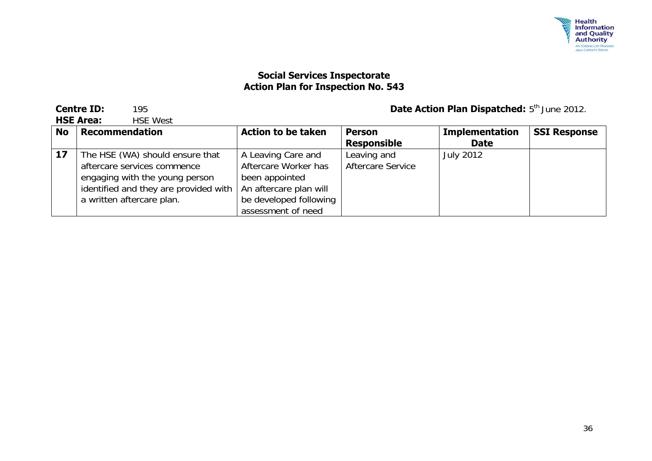

**HSE Area:** HSE West

|           | 1 136 AI 69.<br>IIJL VVUJL            |                           |                          |                       |                     |  |  |
|-----------|---------------------------------------|---------------------------|--------------------------|-----------------------|---------------------|--|--|
| <b>No</b> | <b>Recommendation</b>                 | <b>Action to be taken</b> | <b>Person</b>            | <b>Implementation</b> | <b>SSI Response</b> |  |  |
|           |                                       |                           | <b>Responsible</b>       | <b>Date</b>           |                     |  |  |
| 17        | The HSE (WA) should ensure that       | A Leaving Care and        | Leaving and              | <b>July 2012</b>      |                     |  |  |
|           | aftercare services commence           | Aftercare Worker has      | <b>Aftercare Service</b> |                       |                     |  |  |
|           | engaging with the young person        | been appointed            |                          |                       |                     |  |  |
|           | identified and they are provided with | An aftercare plan will    |                          |                       |                     |  |  |
|           | a written aftercare plan.             | be developed following    |                          |                       |                     |  |  |
|           |                                       | assessment of need        |                          |                       |                     |  |  |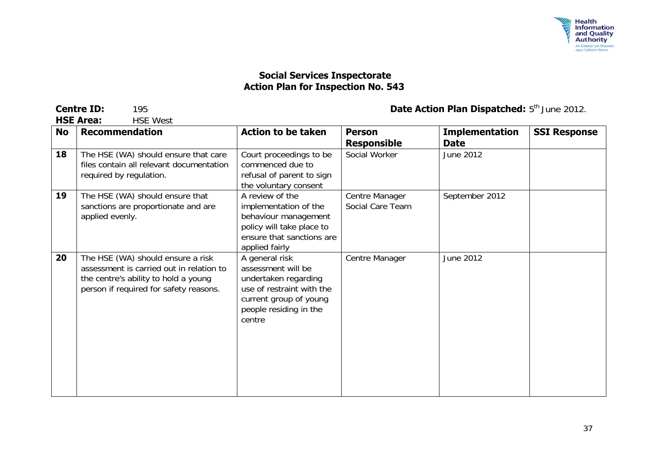

**HSE West** 

| <b>No</b> | <b>Recommendation</b>                                                                                                                                           | <b>Action to be taken</b>                                                                                                                               | <b>Person</b><br><b>Responsible</b> | <b>Implementation</b><br><b>Date</b> | <b>SSI Response</b> |
|-----------|-----------------------------------------------------------------------------------------------------------------------------------------------------------------|---------------------------------------------------------------------------------------------------------------------------------------------------------|-------------------------------------|--------------------------------------|---------------------|
| 18        | The HSE (WA) should ensure that care<br>files contain all relevant documentation<br>required by regulation.                                                     | Court proceedings to be<br>commenced due to<br>refusal of parent to sign<br>the voluntary consent                                                       | Social Worker                       | June 2012                            |                     |
| 19        | The HSE (WA) should ensure that<br>sanctions are proportionate and are<br>applied evenly.                                                                       | A review of the<br>implementation of the<br>behaviour management<br>policy will take place to<br>ensure that sanctions are<br>applied fairly            | Centre Manager<br>Social Care Team  | September 2012                       |                     |
| 20        | The HSE (WA) should ensure a risk<br>assessment is carried out in relation to<br>the centre's ability to hold a young<br>person if required for safety reasons. | A general risk<br>assessment will be<br>undertaken regarding<br>use of restraint with the<br>current group of young<br>people residing in the<br>centre | Centre Manager                      | June 2012                            |                     |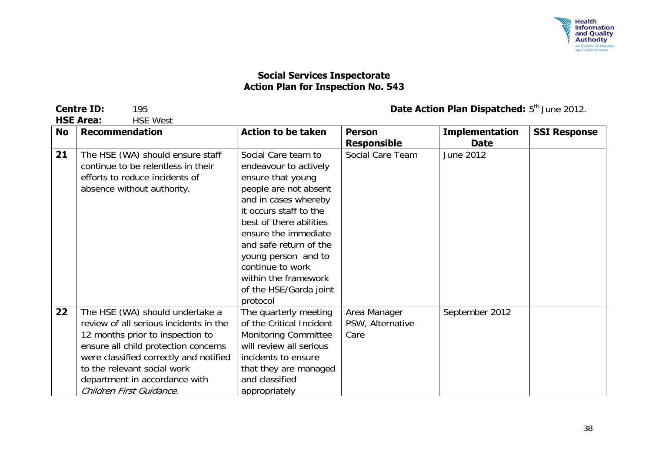

**HSE Area:** 

| <b>No</b> | <b>Recommendation</b>                                                                                                                                                                                                                                                                       | <b>Action to be taken</b>                                                                                                                                                                                                                                                                                                          | <b>Person</b><br><b>Responsible</b>      | <b>Implementation</b><br><b>Date</b> | <b>SSI Response</b> |
|-----------|---------------------------------------------------------------------------------------------------------------------------------------------------------------------------------------------------------------------------------------------------------------------------------------------|------------------------------------------------------------------------------------------------------------------------------------------------------------------------------------------------------------------------------------------------------------------------------------------------------------------------------------|------------------------------------------|--------------------------------------|---------------------|
| 21        | The HSE (WA) should ensure staff<br>continue to be relentless in their<br>efforts to reduce incidents of<br>absence without authority.                                                                                                                                                      | Social Care team to<br>endeavour to actively<br>ensure that young<br>people are not absent<br>and in cases whereby<br>it occurs staff to the<br>best of there abilities<br>ensure the immediate<br>and safe return of the<br>young person and to<br>continue to work<br>within the framework<br>of the HSE/Garda joint<br>protocol | Social Care Team                         | June 2012                            |                     |
| 22        | The HSE (WA) should undertake a<br>review of all serious incidents in the<br>12 months prior to inspection to<br>ensure all child protection concerns<br>were classified correctly and notified<br>to the relevant social work<br>department in accordance with<br>Children First Guidance. | The quarterly meeting<br>of the Critical Incident<br><b>Monitoring Committee</b><br>will review all serious<br>incidents to ensure<br>that they are managed<br>and classified<br>appropriately                                                                                                                                     | Area Manager<br>PSW, Alternative<br>Care | September 2012                       |                     |